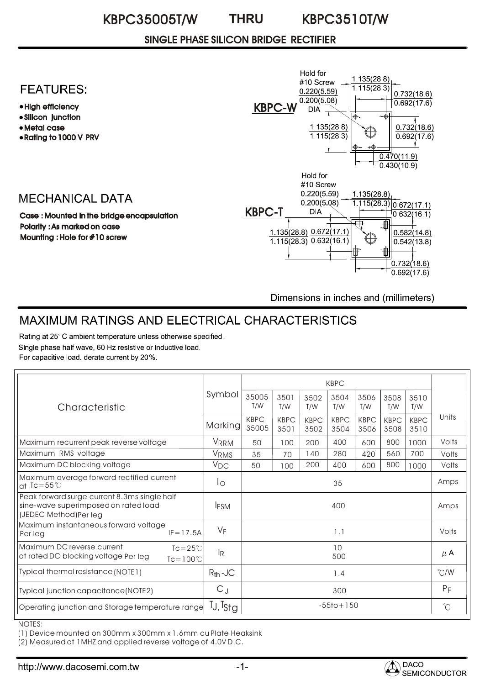#### KBPC35005T/W KBPC3510T/W **THRU**

## SINGLE PHASE SILICON BRIDGE RECTIFIER

# **FEATURES:**

- High efficiency
- Silicon junction
- Metal case
- Rating to 1000 V PRV

# **MECHANICAL DATA**

Case : Mounted in the bridge encapsulation Polarity : As marked on case Mounting : Hole for #10 screw



Dimensions in inches and (millimeters)

# MAXIMUM RATINGS AND ELECTRICAL CHARACTERISTICS

Rating at 25°C ambient temperature unless otherwise specified. Single phase half wave, 60 Hz resistive or inductive load. For capacitive load. derate current by 20%.

| Characteristic                                                                                                  | Symbol                    | <b>KBPC</b>          |                     |                     |                     |                     |                     |                     |                      |
|-----------------------------------------------------------------------------------------------------------------|---------------------------|----------------------|---------------------|---------------------|---------------------|---------------------|---------------------|---------------------|----------------------|
|                                                                                                                 |                           | 35005<br>T/W         | 3501<br>T/W         | 3502<br>T/W         | 3504<br>T/W         | 3506<br>T/W         | 3508<br>T/W         | 3510<br>T/W         |                      |
|                                                                                                                 | Marking                   | <b>KBPC</b><br>35005 | <b>KBPC</b><br>3501 | <b>KBPC</b><br>3502 | <b>KBPC</b><br>3504 | <b>KBPC</b><br>3506 | <b>KBPC</b><br>3508 | <b>KBPC</b><br>3510 | Units                |
| Maximum recurrent peak reverse voltage                                                                          | VRRM                      | 50                   | 100                 | 200                 | 400                 | 600                 | 800                 | 1000                | Volts                |
| Maximum RMS voltage                                                                                             | VRMS                      | 35                   | 70                  | 140                 | 280                 | 420                 | 560                 | 700                 | Volts                |
| Maximum DC blocking voltage                                                                                     | $V_{DC}$                  | 50                   | 100                 | 200                 | 400                 | 600                 | 800                 | 1000                | Volts                |
| Maximum average forward rectified current<br>at $Ic = 55^{\circ}C$                                              | Ιo                        | 35                   |                     |                     |                     |                     |                     | Amps                |                      |
| Peak forward surge current 8.3ms single half<br>sine-wave superimposed on rated load<br>(JEDEC Method)Per leg   | <b>IFSM</b>               | 400                  |                     |                     |                     |                     |                     | Amps                |                      |
| Maximum instantaneous forward voltage<br>$IF = 17.5A$<br>Per leg                                                | VF                        | 1.1                  |                     |                     |                     |                     |                     |                     | Volts                |
| Maximum DC reverse current<br>$Tc = 25^{\circ}C$<br>at rated DC blocking voltage Per leg<br>$Tc = 100^{\circ}C$ | $\mathsf{I}_{\mathsf{R}}$ | 10<br>500            |                     |                     |                     |                     |                     |                     | $\mu$ A              |
| Typical thermal resistance (NOTE1)                                                                              | $R_{th}$ -JC              | 1.4                  |                     |                     |                     |                     |                     |                     | $\degree$ C/W        |
| Typical junction capacitance (NOTE2)                                                                            | $C_J$                     | 300                  |                     |                     |                     |                     |                     |                     | $P_F$                |
| Operating junction and Storage temperature range                                                                | $T_J$ , $T_{StQ}$         | $-55$ to + 150       |                     |                     |                     |                     |                     |                     | $\mathrm{C}^{\circ}$ |

NOTES:

(1) Device mounted on 300mm x 300mm x 1.6mm cu Plate Heaksink

(2) Measured at 1MHZ and applied reverse voltage of 4.0V D.C.

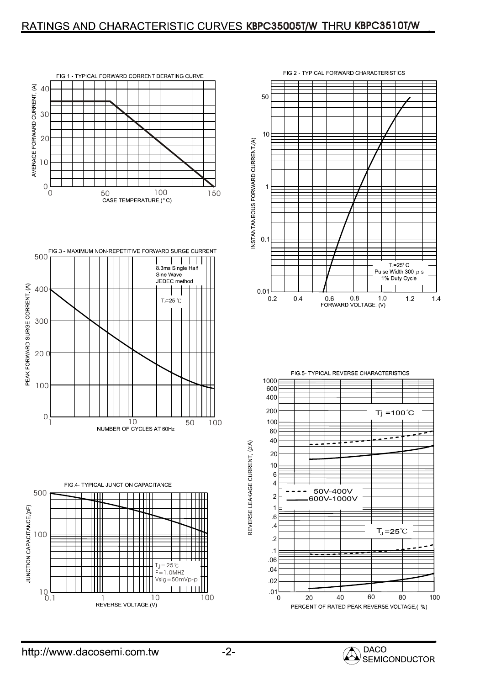## RATINGS AND CHARACTERISTIC CURVES KBPC35005T/W THRU KBPC3510T/W













REVERSE LEAKAGE CURRENT, (J/A)